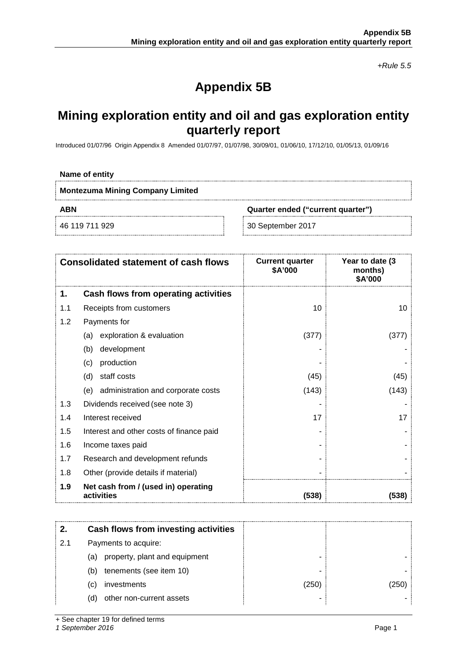*+Rule 5.5*

# **Appendix 5B**

## **Mining exploration entity and oil and gas exploration entity quarterly report**

Introduced 01/07/96 Origin Appendix 8 Amended 01/07/97, 01/07/98, 30/09/01, 01/06/10, 17/12/10, 01/05/13, 01/09/16

#### **Name of entity**

Ť

**ABN Quarter ended ("current quarter")**

46 119 711 929 30 September 2017

| <b>Consolidated statement of cash flows</b> |                                                   | <b>Current quarter</b><br>\$A'000 | Year to date (3<br>months)<br>\$A'000 |  |
|---------------------------------------------|---------------------------------------------------|-----------------------------------|---------------------------------------|--|
| 1.                                          | Cash flows from operating activities              |                                   |                                       |  |
| 1.1                                         | Receipts from customers                           | 10                                | 10                                    |  |
| 1.2                                         | Payments for                                      |                                   |                                       |  |
|                                             | exploration & evaluation<br>(a)                   | (377)                             | (377)                                 |  |
|                                             | development<br>(b)                                |                                   |                                       |  |
|                                             | production<br>(C)                                 |                                   |                                       |  |
|                                             | staff costs<br>(d)                                | (45)                              | (45)                                  |  |
|                                             | administration and corporate costs<br>(e)         | (143)                             | (143)                                 |  |
| 1.3                                         | Dividends received (see note 3)                   |                                   |                                       |  |
| 1.4                                         | Interest received                                 | 17                                | 17                                    |  |
| 1.5                                         | Interest and other costs of finance paid          |                                   |                                       |  |
| 1.6                                         | Income taxes paid                                 |                                   |                                       |  |
| 1.7                                         | Research and development refunds                  |                                   |                                       |  |
| 1.8                                         | Other (provide details if material)               |                                   |                                       |  |
| 1.9                                         | Net cash from / (used in) operating<br>activities | (538)                             | (538)                                 |  |

|     | Cash flows from investing activities |       |     |
|-----|--------------------------------------|-------|-----|
| 2.1 | Payments to acquire:                 |       |     |
|     | property, plant and equipment<br>(a) |       |     |
|     | tenements (see item 10)<br>(b)       |       |     |
|     | investments<br>(C)                   | (250) | 250 |
|     | other non-current assets<br>(d)      |       |     |

+ See chapter 19 for defined terms

*1 September 2016* Page 1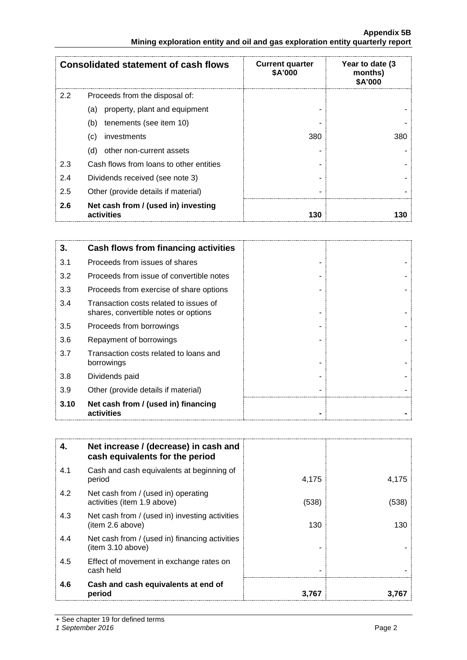### **Appendix 5B Mining exploration entity and oil and gas exploration entity quarterly report**

|               | <b>Consolidated statement of cash flows</b>       | <b>Current quarter</b><br><b>\$A'000</b> | Year to date (3)<br>months)<br>\$A'000 |
|---------------|---------------------------------------------------|------------------------------------------|----------------------------------------|
| $2.2^{\circ}$ | Proceeds from the disposal of:                    |                                          |                                        |
|               | property, plant and equipment<br>(a)              |                                          |                                        |
|               | (b)<br>tenements (see item 10)                    |                                          |                                        |
|               | investments<br>(c)                                | 380                                      | 380                                    |
|               | other non-current assets<br>(d)                   |                                          |                                        |
| 2.3           | Cash flows from loans to other entities           |                                          |                                        |
| 2.4           | Dividends received (see note 3)                   |                                          |                                        |
| 2.5           | Other (provide details if material)               |                                          |                                        |
| 2.6           | Net cash from / (used in) investing<br>activities | 130                                      |                                        |

| 3.   | Cash flows from financing activities                                           |  |
|------|--------------------------------------------------------------------------------|--|
| 3.1  | Proceeds from issues of shares                                                 |  |
| 3.2  | Proceeds from issue of convertible notes                                       |  |
| 3.3  | Proceeds from exercise of share options                                        |  |
| 3.4  | Transaction costs related to issues of<br>shares, convertible notes or options |  |
| 3.5  | Proceeds from borrowings                                                       |  |
| 3.6  | Repayment of borrowings                                                        |  |
| 3.7  | Transaction costs related to loans and<br>borrowings                           |  |
| 3.8  | Dividends paid                                                                 |  |
| 3.9  | Other (provide details if material)                                            |  |
| 3.10 | Net cash from / (used in) financing<br>activities                              |  |

| 4.  | Net increase / (decrease) in cash and<br>cash equivalents for the period |       |       |
|-----|--------------------------------------------------------------------------|-------|-------|
| 4.1 | Cash and cash equivalents at beginning of<br>period                      | 4,175 | 4,175 |
| 4.2 | Net cash from / (used in) operating<br>activities (item 1.9 above)       | (538) | (538) |
| 4.3 | Net cash from / (used in) investing activities<br>(item 2.6 above)       | 130   | 130   |
| 4.4 | Net cash from / (used in) financing activities<br>(item 3.10 above)      |       |       |
| 4.5 | Effect of movement in exchange rates on<br>cash held                     |       |       |
| 4.6 | Cash and cash equivalents at end of<br>period                            | 3.767 |       |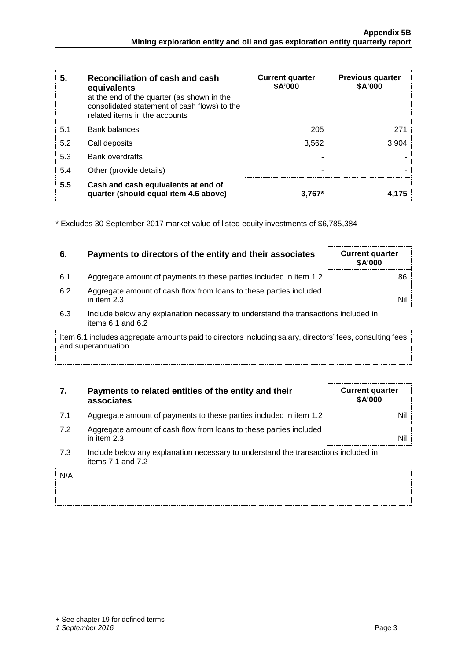| 5.  | Reconciliation of cash and cash<br>equivalents<br>at the end of the quarter (as shown in the<br>consolidated statement of cash flows) to the<br>related items in the accounts | <b>Current quarter</b><br>\$A'000 | <b>Previous quarter</b><br>\$A'000 |
|-----|-------------------------------------------------------------------------------------------------------------------------------------------------------------------------------|-----------------------------------|------------------------------------|
| 5.1 | Bank balances                                                                                                                                                                 | 205                               | 271                                |
| 5.2 | Call deposits                                                                                                                                                                 | 3.562                             | 3.904                              |
| 5.3 | <b>Bank overdrafts</b>                                                                                                                                                        |                                   |                                    |
| 5.4 | Other (provide details)                                                                                                                                                       |                                   |                                    |
| 5.5 | Cash and cash equivalents at end of<br>quarter (should equal item 4.6 above)                                                                                                  | $3.767*$                          |                                    |

\* Excludes 30 September 2017 market value of listed equity investments of \$6,785,384

## **6.** Payments to directors of the entity and their associates Current quarter

- 6.1 Aggregate amount of payments to these parties included in item 1.2 | and S86
- 6.2 Aggregate amount of cash flow from loans to these parties included<br>in item 2.3 in item 2.3 Nil $\qquad \qquad \blacksquare$
- 6.3 Include below any explanation necessary to understand the transactions included in items 6.1 and 6.2

Item 6.1 includes aggregate amounts paid to directors including salary, directors' fees, consulting fees and superannuation.

## **7. Payments to related entities of the entity and their associates**

- 7.1 Aggregate amount of payments to these parties included in item 1.2 **Nill**
- 7.2 Aggregate amount of cash flow from loans to these parties included<br>in item 2.3 in item 2.3 Nil $\vert$
- 7.3 Include below any explanation necessary to understand the transactions included in items 7.1 and 7.2

**\$A'000**

**Current quarter \$A'000**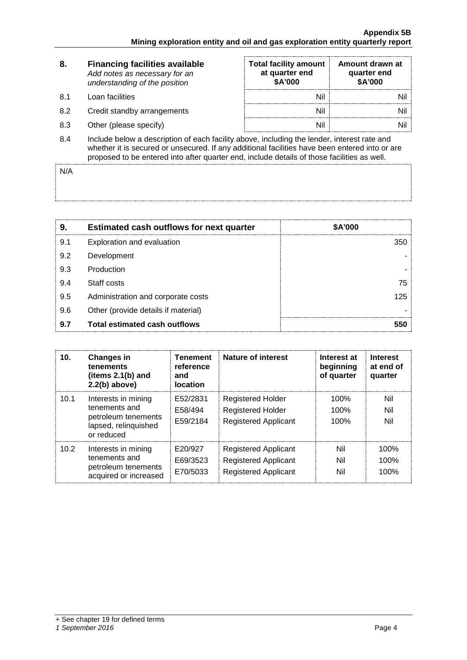| 8.   | <b>Financing facilities available</b><br>Add notes as necessary for an<br>understanding of the position                                                                                       | <b>Total facility amount</b><br>at quarter end<br>\$A'000 | Amount drawn at<br>quarter end<br><b>\$A'000</b> |  |
|------|-----------------------------------------------------------------------------------------------------------------------------------------------------------------------------------------------|-----------------------------------------------------------|--------------------------------------------------|--|
| .8.1 | Loan facilities                                                                                                                                                                               | Nil                                                       |                                                  |  |
| 8.2  | Credit standby arrangements                                                                                                                                                                   | Nil                                                       |                                                  |  |
| 8.3  | Other (please specify)                                                                                                                                                                        | Nil                                                       |                                                  |  |
| 8.4  | Include below a description of each facility above, including the lender, interest rate and<br>upother it is sequend or upsequead. If ony additional facilities hous heap entered into as are |                                                           |                                                  |  |

whether it is secured or unsecured. If any additional facilities have been entered into or are proposed to be entered into after quarter end, include details of those facilities as well.

N/A

| 9   | <b>Estimated cash outflows for next quarter</b> | \$A'000 |
|-----|-------------------------------------------------|---------|
| 9.1 | Exploration and evaluation                      | 350     |
| 9.2 | Development                                     |         |
| 9.3 | Production                                      |         |
| 9.4 | Staff costs                                     | 75      |
| 9.5 | Administration and corporate costs              | 125     |
| 9.6 | Other (provide details if material)             |         |
| 9.7 | <b>Total estimated cash outflows</b>            |         |

| 10.  | <b>Changes in</b><br>tenements<br>(items $2.1(b)$ and<br>$2.2(b)$ above)                          | <b>Tenement</b><br>reference<br>and<br><b>location</b> | Nature of interest                                                                        | Interest at<br>beginning<br>of quarter | <b>Interest</b><br>at end of<br>quarter |
|------|---------------------------------------------------------------------------------------------------|--------------------------------------------------------|-------------------------------------------------------------------------------------------|----------------------------------------|-----------------------------------------|
| 10.1 | Interests in mining<br>tenements and<br>petroleum tenements<br>lapsed, relinquished<br>or reduced | E52/2831<br>E58/494<br>E59/2184                        | Registered Holder<br><b>Registered Holder</b><br><b>Registered Applicant</b>              | $100\%$<br>100%<br>100%                | Nil<br>Nil<br>Nil                       |
| 10.2 | Interests in mining<br>tenements and<br>petroleum tenements<br>acquired or increased              | E20/927<br>E69/3523<br>E70/5033                        | <b>Registered Applicant</b><br><b>Registered Applicant</b><br><b>Registered Applicant</b> | Nil<br>Nil<br>Nil                      | 100%<br>100%<br>100%                    |